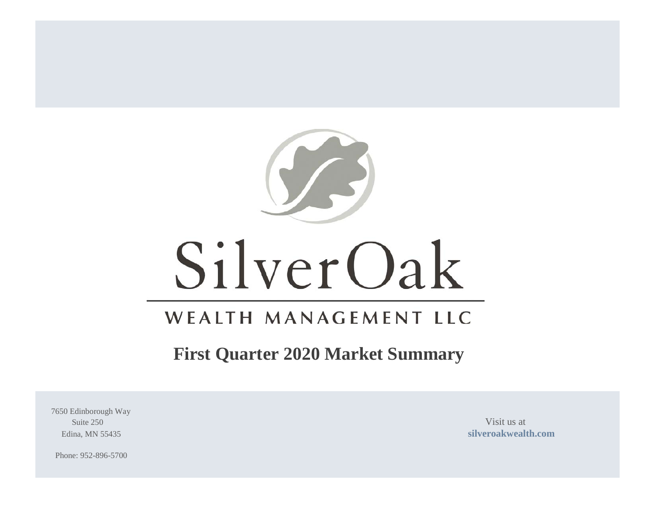

# SilverOak

# WEALTH MANAGEMENT LLC

## **First Quarter 2020 Market Summary**

7650 Edinborough Way Suite 250 Visit us at

Edina, MN 55435 **[silveroakwealth.com](http://www.silveroakwealth.com/silveroakwealth.aspx)**

Phone: 952-896-5700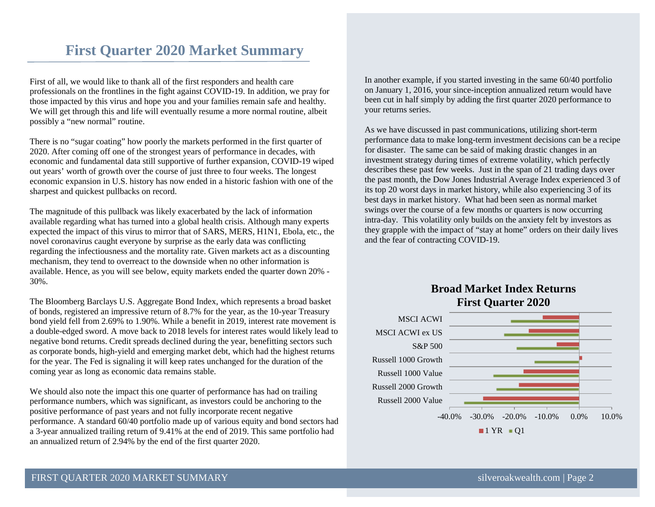### **First Quarter 2020 Market Summary**

First of all, we would like to thank all of the first responders and health care professionals on the frontlines in the fight against COVID-19. In addition, we pray for those impacted by this virus and hope you and your families remain safe and healthy. We will get through this and life will eventually resume a more normal routine, albeit possibly a "new normal" routine.

There is no "sugar coating" how poorly the markets performed in the first quarter of 2020. After coming off one of the strongest years of performance in decades, with economic and fundamental data still supportive of further expansion, COVID-19 wiped out years' worth of growth over the course of just three to four weeks. The longest economic expansion in U.S. history has now ended in a historic fashion with one of the sharpest and quickest pullbacks on record.

The magnitude of this pullback was likely exacerbated by the lack of information available regarding what has turned into a global health crisis. Although many experts expected the impact of this virus to mirror that of SARS, MERS, H1N1, Ebola, etc., the novel coronavirus caught everyone by surprise as the early data was conflicting regarding the infectiousness and the mortality rate. Given markets act as a discounting mechanism, they tend to overreact to the downside when no other information is available. Hence, as you will see below, equity markets ended the quarter down 20% - 30%.

The Bloomberg Barclays U.S. Aggregate Bond Index, which represents a broad basket of bonds, registered an impressive return of 8.7% for the year, as the 10-year Treasury bond yield fell from 2.69% to 1.90%. While a benefit in 2019, interest rate movement is a double-edged sword. A move back to 2018 levels for interest rates would likely lead to negative bond returns. Credit spreads declined during the year, benefitting sectors such as corporate bonds, high-yield and emerging market debt, which had the highest returns for the year. The Fed is signaling it will keep rates unchanged for the duration of the coming year as long as economic data remains stable.

We should also note the impact this one quarter of performance has had on trailing performance numbers, which was significant, as investors could be anchoring to the positive performance of past years and not fully incorporate recent negative performance. A standard 60/40 portfolio made up of various equity and bond sectors had a 3-year annualized trailing return of 9.41% at the end of 2019. This same portfolio had an annualized return of 2.94% by the end of the first quarter 2020.

In another example, if you started investing in the same 60/40 portfolio on January 1, 2016, your since-inception annualized return would have been cut in half simply by adding the first quarter 2020 performance to your returns series.

As we have discussed in past communications, utilizing short-term performance data to make long-term investment decisions can be a recipe for disaster. The same can be said of making drastic changes in an investment strategy during times of extreme volatility, which perfectly describes these past few weeks. Just in the span of 21 trading days over the past month, the Dow Jones Industrial Average Index experienced 3 of its top 20 worst days in market history, while also experiencing 3 of its best days in market history. What had been seen as normal market swings over the course of a few months or quarters is now occurring intra-day. This volatility only builds on the anxiety felt by investors as they grapple with the impact of "stay at home" orders on their daily lives and the fear of contracting COVID-19.



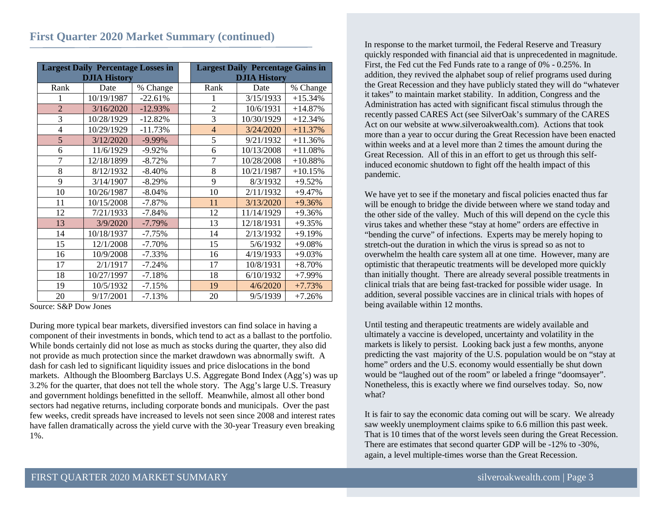#### **First Quarter 2020 Market Summary (continued)**

| <b>Largest Daily Percentage Losses in</b><br><b>DJIA History</b> |            |           | <b>Largest Daily Percentage Gains in</b><br><b>DJIA History</b> |            |           |  |
|------------------------------------------------------------------|------------|-----------|-----------------------------------------------------------------|------------|-----------|--|
| Rank                                                             | Date       | % Change  | Rank                                                            | Date       | % Change  |  |
| 1                                                                | 10/19/1987 | $-22.61%$ | 1                                                               | 3/15/1933  | $+15.34%$ |  |
| $\overline{2}$                                                   | 3/16/2020  | $-12.93%$ | $\overline{2}$                                                  | 10/6/1931  | $+14.87%$ |  |
| 3                                                                | 10/28/1929 | $-12.82%$ | 3                                                               | 10/30/1929 | $+12.34%$ |  |
| $\overline{4}$                                                   | 10/29/1929 | $-11.73%$ | $\overline{4}$                                                  | 3/24/2020  | $+11.37%$ |  |
| 5                                                                | 3/12/2020  | $-9.99%$  | 5                                                               | 9/21/1932  | $+11.36%$ |  |
| 6                                                                | 11/6/1929  | $-9.92\%$ | 6                                                               | 10/13/2008 | $+11.08%$ |  |
| 7                                                                | 12/18/1899 | $-8.72%$  | $\overline{7}$                                                  | 10/28/2008 | $+10.88%$ |  |
| 8                                                                | 8/12/1932  | $-8.40%$  | 8                                                               | 10/21/1987 | $+10.15%$ |  |
| 9                                                                | 3/14/1907  | $-8.29%$  | 9                                                               | 8/3/1932   | $+9.52%$  |  |
| 10                                                               | 10/26/1987 | $-8.04%$  | 10                                                              | 2/11/1932  | $+9.47%$  |  |
| 11                                                               | 10/15/2008 | $-7.87%$  | 11                                                              | 3/13/2020  | $+9.36%$  |  |
| 12                                                               | 7/21/1933  | $-7.84%$  | 12                                                              | 11/14/1929 | $+9.36%$  |  |
| 13                                                               | 3/9/2020   | $-7.79%$  | 13                                                              | 12/18/1931 | $+9.35%$  |  |
| 14                                                               | 10/18/1937 | $-7.75%$  | 14                                                              | 2/13/1932  | $+9.19%$  |  |
| 15                                                               | 12/1/2008  | $-7.70%$  | 15                                                              | 5/6/1932   | $+9.08%$  |  |
| 16                                                               | 10/9/2008  | $-7.33\%$ | 16                                                              | 4/19/1933  | $+9.03%$  |  |
| 17                                                               | 2/1/1917   | $-7.24%$  | 17                                                              | 10/8/1931  | $+8.70%$  |  |
| 18                                                               | 10/27/1997 | $-7.18%$  | 18                                                              | 6/10/1932  | $+7.99\%$ |  |
| 19                                                               | 10/5/1932  | $-7.15%$  | 19                                                              | 4/6/2020   | $+7.73%$  |  |
| 20                                                               | 9/17/2001  | $-7.13%$  | 20                                                              | 9/5/1939   | $+7.26%$  |  |

Source: S&P Dow Jones

During more typical bear markets, diversified investors can find solace in having a component of their investments in bonds, which tend to act as a ballast to the portfolio. While bonds certainly did not lose as much as stocks during the quarter, they also did not provide as much protection since the market drawdown was abnormally swift. A dash for cash led to significant liquidity issues and price dislocations in the bond markets. Although the Bloomberg Barclays U.S. Aggregate Bond Index (Agg's) was up 3.2% for the quarter, that does not tell the whole story. The Agg's large U.S. Treasury and government holdings benefitted in the selloff. Meanwhile, almost all other bond sectors had negative returns, including corporate bonds and municipals. Over the past few weeks, credit spreads have increased to levels not seen since 2008 and interest rates have fallen dramatically across the yield curve with the 30-year Treasury even breaking 1%.

In response to the market turmoil, the Federal Reserve and Treasury quickly responded with financial aid that is unprecedented in magnitude. First, the Fed cut the Fed Funds rate to a range of 0% - 0.25%. In addition, they revived the alphabet soup of relief programs used during the Great Recession and they have publicly stated they will do "whatever it takes" to maintain market stability. In addition, Congress and the Administration has acted with significant fiscal stimulus through the recently passed CARES Act (see SilverOak's summary of the CARES Act on our website at www.silveroakwealth.com). Actions that took more than a year to occur during the Great Recession have been enacted within weeks and at a level more than 2 times the amount during the Great Recession. All of this in an effort to get us through this selfinduced economic shutdown to fight off the health impact of this pandemic.

We have yet to see if the monetary and fiscal policies enacted thus far will be enough to bridge the divide between where we stand today and the other side of the valley. Much of this will depend on the cycle this virus takes and whether these "stay at home" orders are effective in "bending the curve" of infections. Experts may be merely hoping to stretch-out the duration in which the virus is spread so as not to overwhelm the health care system all at one time. However, many are optimistic that therapeutic treatments will be developed more quickly than initially thought. There are already several possible treatments in clinical trials that are being fast-tracked for possible wider usage. In addition, several possible vaccines are in clinical trials with hopes of being available within 12 months.

Until testing and therapeutic treatments are widely available and ultimately a vaccine is developed, uncertainty and volatility in the markets is likely to persist. Looking back just a few months, anyone predicting the vast majority of the U.S. population would be on "stay at home" orders and the U.S. economy would essentially be shut down would be "laughed out of the room" or labeled a fringe "doomsayer". Nonetheless, this is exactly where we find ourselves today. So, now what?

It is fair to say the economic data coming out will be scary. We already saw weekly unemployment claims spike to 6.6 million this past week. That is 10 times that of the worst levels seen during the Great Recession. There are estimates that second quarter GDP will be -12% to -30%, again, a level multiple-times worse than the Great Recession.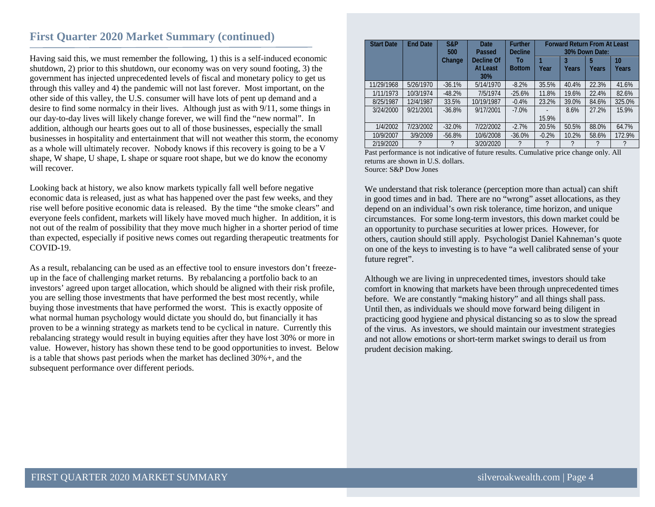#### **First Quarter 2020 Market Summary (continued)**

Having said this, we must remember the following, 1) this is a self-induced economic shutdown, 2) prior to this shutdown, our economy was on very sound footing, 3) the government has injected unprecedented levels of fiscal and monetary policy to get us through this valley and 4) the pandemic will not last forever. Most important, on the other side of this valley, the U.S. consumer will have lots of pent up demand and a desire to find some normalcy in their lives. Although just as with 9/11, some things in our day-to-day lives will likely change forever, we will find the "new normal". In addition, although our hearts goes out to all of those businesses, especially the small businesses in hospitality and entertainment that will not weather this storm, the economy as a whole will ultimately recover. Nobody knows if this recovery is going to be a V shape, W shape, U shape, L shape or square root shape, but we do know the economy will recover.

Looking back at history, we also know markets typically fall well before negative economic data is released, just as what has happened over the past few weeks, and they rise well before positive economic data is released. By the time "the smoke clears" and everyone feels confident, markets will likely have moved much higher. In addition, it is not out of the realm of possibility that they move much higher in a shorter period of time than expected, especially if positive news comes out regarding therapeutic treatments for COVID-19.

As a result, rebalancing can be used as an effective tool to ensure investors don't freezeup in the face of challenging market returns. By rebalancing a portfolio back to an investors' agreed upon target allocation, which should be aligned with their risk profile, you are selling those investments that have performed the best most recently, while buying those investments that have performed the worst. This is exactly opposite of what normal human psychology would dictate you should do, but financially it has proven to be a winning strategy as markets tend to be cyclical in nature. Currently this rebalancing strategy would result in buying equities after they have lost 30% or more in value. However, history has shown these tend to be good opportunities to invest. Below is a table that shows past periods when the market has declined 30%+, and the subsequent performance over different periods.

| <b>Start Date</b> | <b>End Date</b> | S&P<br>500<br>Change | Date<br>Passed<br>Decline Of<br><b>At Least</b><br><b>30%</b> | <b>Further</b><br><b>Decline</b><br>To<br><b>Bottom</b> | Year    | 3<br><b>Years</b> | <b>Forward Return From At Least</b><br>30% Down Date:<br>5<br><b>Years</b> | 10<br>Years |
|-------------------|-----------------|----------------------|---------------------------------------------------------------|---------------------------------------------------------|---------|-------------------|----------------------------------------------------------------------------|-------------|
| 11/29/1968        | 5/26/1970       | $-36.1%$             | 5/14/1970                                                     | $-8.2%$                                                 | 35.5%   | 40.4%             | 22.3%                                                                      | 41.6%       |
| 1/11/1973         | 10/3/1974       | $-48.2%$             | 7/5/1974                                                      | $-25.6%$                                                | 11.8%   | 19.6%             | 22.4%                                                                      | 82.6%       |
| 8/25/1987         | 12/4/1987       | 33.5%                | 10/19/1987                                                    | $-0.4%$                                                 | 23.2%   | 39.0%             | 84.6%                                                                      | 325.0%      |
| 3/24/2000         | 9/21/2001       | $-36.8%$             | 9/17/2001                                                     | $-7.0%$                                                 | 15.9%   | 8.6%              | 27.2%                                                                      | 15.9%       |
| 1/4/2002          | 7/23/2002       | $-32.0%$             | 7/22/2002                                                     | $-2.7%$                                                 | 20.5%   | 50.5%             | 88.0%                                                                      | 64.7%       |
| 10/9/2007         | 3/9/2009        | $-56.8%$             | 10/6/2008                                                     | $-36.0%$                                                | $-0.2%$ | 10.2%             | 58.6%                                                                      | 172.9%      |
| 2/19/2020         |                 | ?                    | 3/20/2020                                                     | ?                                                       | ?       |                   | ?                                                                          |             |

Past performance is not indicative of future results. Cumulative price change only. All returns are shown in U.S. dollars. Source: S&P Dow Jones

We understand that risk tolerance (perception more than actual) can shift in good times and in bad. There are no "wrong" asset allocations, as they depend on an individual's own risk tolerance, time horizon, and unique circumstances. For some long-term investors, this down market could be an opportunity to purchase securities at lower prices. However, for others, caution should still apply. Psychologist Daniel Kahneman's quote on one of the keys to investing is to have "a well calibrated sense of your future regret".

Although we are living in unprecedented times, investors should take comfort in knowing that markets have been through unprecedented times before. We are constantly "making history" and all things shall pass. Until then, as individuals we should move forward being diligent in practicing good hygiene and physical distancing so as to slow the spread of the virus. As investors, we should maintain our investment strategies and not allow emotions or short-term market swings to derail us from prudent decision making.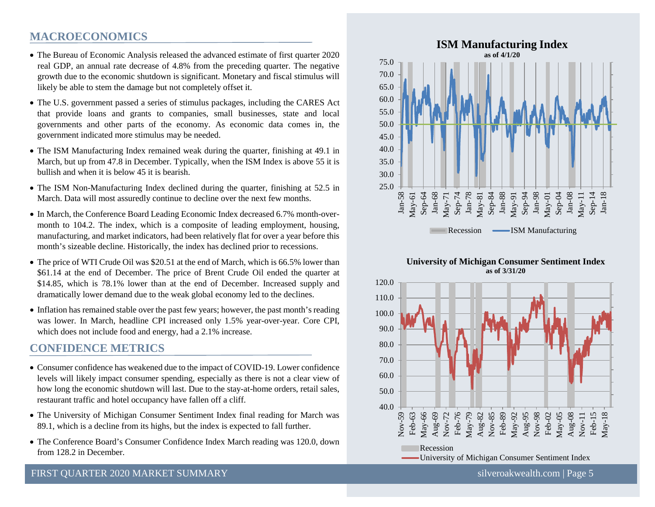#### **MACROECONOMICS**

- The Bureau of Economic Analysis released the advanced estimate of first quarter 2020 real GDP, an annual rate decrease of 4.8% from the preceding quarter. The negative growth due to the economic shutdown is significant. Monetary and fiscal stimulus will likely be able to stem the damage but not completely offset it.
- The U.S. government passed a series of stimulus packages, including the CARES Act that provide loans and grants to companies, small businesses, state and local governments and other parts of the economy. As economic data comes in, the government indicated more stimulus may be needed.
- The ISM Manufacturing Index remained weak during the quarter, finishing at 49.1 in March, but up from 47.8 in December. Typically, when the ISM Index is above 55 it is bullish and when it is below 45 it is bearish.
- The ISM Non-Manufacturing Index declined during the quarter, finishing at 52.5 in March. Data will most assuredly continue to decline over the next few months.
- In March, the Conference Board Leading Economic Index decreased 6.7% month-overmonth to 104.2. The index, which is a composite of leading employment, housing, manufacturing, and market indicators, had been relatively flat for over a year before this month's sizeable decline. Historically, the index has declined prior to recessions.
- The price of WTI Crude Oil was \$20.51 at the end of March, which is 66.5% lower than \$61.14 at the end of December. The price of Brent Crude Oil ended the quarter at \$14.85, which is 78.1% lower than at the end of December. Increased supply and dramatically lower demand due to the weak global economy led to the declines.
- Inflation has remained stable over the past few years; however, the past month's reading was lower. In March, headline CPI increased only 1.5% year-over-year. Core CPI, which does not include food and energy, had a 2.1% increase.

#### **CONFIDENCE METRICS**

- Consumer confidence has weakened due to the impact of COVID-19. Lower confidence levels will likely impact consumer spending, especially as there is not a clear view of how long the economic shutdown will last. Due to the stay-at-home orders, retail sales, restaurant traffic and hotel occupancy have fallen off a cliff.
- The University of Michigan Consumer Sentiment Index final reading for March was 89.1, which is a decline from its highs, but the index is expected to fall further.
- The Conference Board's Consumer Confidence Index March reading was 120.0, down from 128.2 in December.



#### **University of Michigan Consumer Sentiment Index as of 3/31/20**



#### FIRST OUARTER 2020 MARKET SUMMARY SILVER SILVER SILVER SILVER SILVER SILVER SILVER SILVER SILVER SILVER SILVER SILVER SILVER SILVER SILVER SILVER SILVER SILVER SILVER SILVER SILVER SILVER SILVER SILVER SILVER SILVER SILVER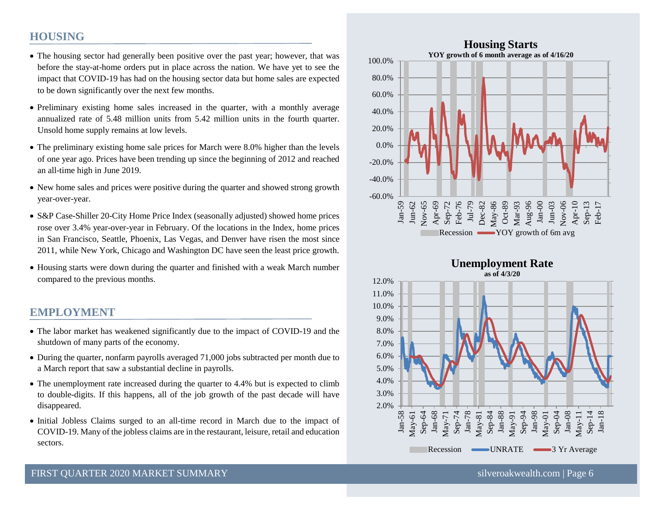#### **HOUSING**

- The housing sector had generally been positive over the past year; however, that was before the stay-at-home orders put in place across the nation. We have yet to see the impact that COVID-19 has had on the housing sector data but home sales are expected to be down significantly over the next few months.
- Preliminary existing home sales increased in the quarter, with a monthly average annualized rate of 5.48 million units from 5.42 million units in the fourth quarter. Unsold home supply remains at low levels.
- The preliminary existing home sale prices for March were 8.0% higher than the levels of one year ago. Prices have been trending up since the beginning of 2012 and reached an all-time high in June 2019.
- New home sales and prices were positive during the quarter and showed strong growth year-over-year.
- S&P Case-Shiller 20-City Home Price Index (seasonally adjusted) showed home prices rose over 3.4% year-over-year in February. Of the locations in the Index, home prices in San Francisco, Seattle, Phoenix, Las Vegas, and Denver have risen the most since 2011, while New York, Chicago and Washington DC have seen the least price growth.
- Housing starts were down during the quarter and finished with a weak March number compared to the previous months.

#### **EMPLOYMENT**

- The labor market has weakened significantly due to the impact of COVID-19 and the shutdown of many parts of the economy.
- During the quarter, nonfarm payrolls averaged 71,000 jobs subtracted per month due to a March report that saw a substantial decline in payrolls.
- The unemployment rate increased during the quarter to 4.4% but is expected to climb to double-digits. If this happens, all of the job growth of the past decade will have disappeared.
- Initial Jobless Claims surged to an all-time record in March due to the impact of COVID-19. Many of the jobless claims are in the restaurant, leisure, retail and education sectors.



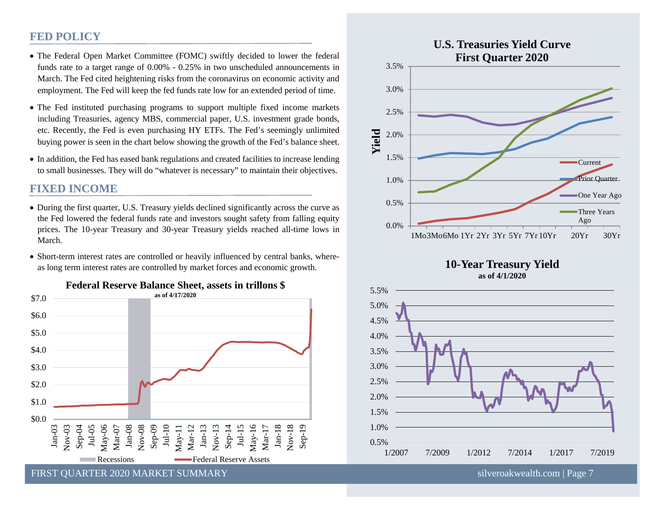#### **FED POLICY**

- The Federal Open Market Committee (FOMC) swiftly decided to lower the federal funds rate to a target range of 0.00% - 0.25% in two unscheduled announcements in March. The Fed cited heightening risks from the coronavirus on economic activity and employment. The Fed will keep the fed funds rate low for an extended period of time.
- The Fed instituted purchasing programs to support multiple fixed income markets including Treasuries, agency MBS, commercial paper, U.S. investment grade bonds, etc. Recently, the Fed is even purchasing HY ETFs. The Fed's seemingly unlimited buying power is seen in the chart below showing the growth of the Fed's balance sheet.
- In addition, the Fed has eased bank regulations and created facilities to increase lending to small businesses. They will do "whatever is necessary" to maintain their objectives.

#### **FIXED INCOME**

- During the first quarter, U.S. Treasury yields declined significantly across the curve as the Fed lowered the federal funds rate and investors sought safety from falling equity prices. The 10-year Treasury and 30-year Treasury yields reached all-time lows in March.
- Short-term interest rates are controlled or heavily influenced by central banks, whereas long term interest rates are controlled by market forces and economic growth.



**Federal Reserve Balance Sheet, assets in trillons \$**

FIRST QUARTER 2020 MARKET SUMMARY [silveroakwealth.com](http://www.silveroakwealth.com/silveroakwealth.aspx) | Page 7



**10-Year Treasury Yield as of 4/1/2020**

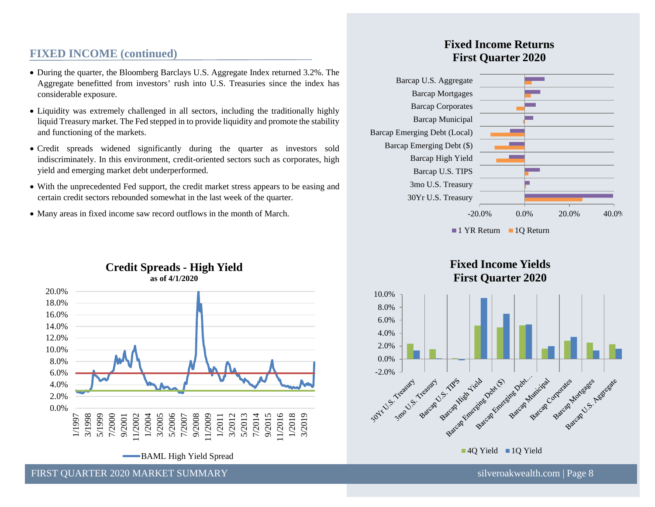#### **FIXED INCOME (continued)**

- During the quarter, the Bloomberg Barclays U.S. Aggregate Index returned 3.2%. The Aggregate benefitted from investors' rush into U.S. Treasuries since the index has considerable exposure.
- Liquidity was extremely challenged in all sectors, including the traditionally highly liquid Treasury market. The Fed stepped in to provide liquidity and promote the stability and functioning of the markets.
- Credit spreads widened significantly during the quarter as investors sold indiscriminately. In this environment, credit-oriented sectors such as corporates, high yield and emerging market debt underperformed.
- With the unprecedented Fed support, the credit market stress appears to be easing and certain credit sectors rebounded somewhat in the last week of the quarter.
- Many areas in fixed income saw record outflows in the month of March.

#### **Credit Spreads - High Yield as of 4/1/2020**



FIRST OUARTER 2020 MARKET SUMMARY SILVER AND SILVER SUMMARY SILVER SILVER SILVER SILVER SILVER SILVER SUMMARY

#### **Fixed Income Returns First Quarter 2020**





**40 Yield** 10 Yield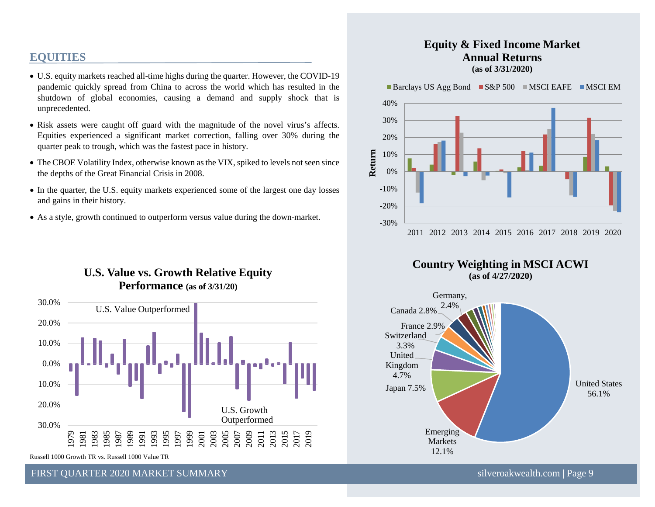#### **EQUITIES**

- U.S. equity markets reached all-time highs during the quarter. However, the COVID-19 pandemic quickly spread from China to across the world which has resulted in the shutdown of global economies, causing a demand and supply shock that is unprecedented.
- Risk assets were caught off guard with the magnitude of the novel virus's affects. Equities experienced a significant market correction, falling over 30% during the quarter peak to trough, which was the fastest pace in history.
- The CBOE Volatility Index, otherwise known as the VIX, spiked to levels not seen since the depths of the Great Financial Crisis in 2008.
- In the quarter, the U.S. equity markets experienced some of the largest one day losses and gains in their history.
- As a style, growth continued to outperform versus value during the down-market.

#### **U.S. Value vs. Growth Relative Equity Performance (as of 3/31/20)**



Russell 1000 Growth TR vs. Russell 1000 Value TR

FIRST OUARTER 2020 MARKET SUMMARY SILVER AND SILVER SUMMARY SILVER SILVER SILVER SILVER SILVER SILVER SUMMARY

#### **Equity & Fixed Income Market Annual Returns (as of 3/31/2020)**

Barclays US Agg Bond  $SS\&P 500$  MSCI EAFE MSCI EM





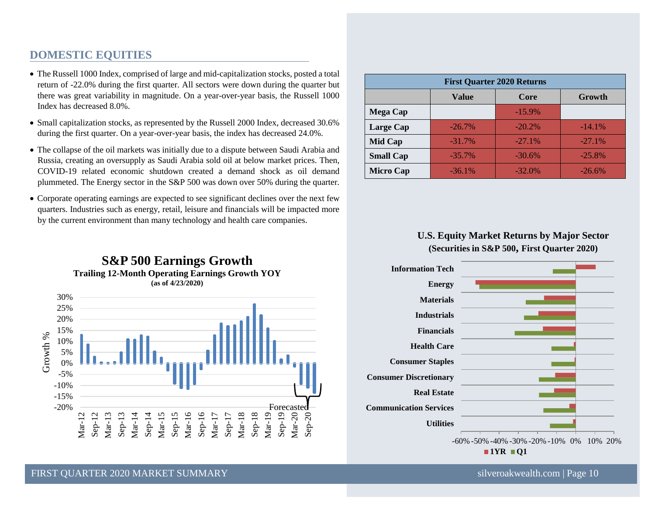#### **DOMESTIC EQUITIES**

- The Russell 1000 Index, comprised of large and mid-capitalization stocks, posted a total return of -22.0% during the first quarter. All sectors were down during the quarter but there was great variability in magnitude. On a year-over-year basis, the Russell 1000 Index has decreased 8.0%.
- Small capitalization stocks, as represented by the Russell 2000 Index, decreased 30.6% during the first quarter. On a year-over-year basis, the index has decreased 24.0%.
- The collapse of the oil markets was initially due to a dispute between Saudi Arabia and Russia, creating an oversupply as Saudi Arabia sold oil at below market prices. Then, COVID-19 related economic shutdown created a demand shock as oil demand plummeted. The Energy sector in the S&P 500 was down over 50% during the quarter.
- Corporate operating earnings are expected to see significant declines over the next few quarters. Industries such as energy, retail, leisure and financials will be impacted more by the current environment than many technology and health care companies.



| <b>First Quarter 2020 Returns</b> |           |           |           |  |  |  |
|-----------------------------------|-----------|-----------|-----------|--|--|--|
|                                   | Value     | Core      | Growth    |  |  |  |
| <b>Mega Cap</b>                   |           | $-15.9\%$ |           |  |  |  |
| Large Cap                         | $-26.7\%$ | $-20.2%$  | $-14.1\%$ |  |  |  |
| Mid Cap                           | $-31.7\%$ | $-27.1%$  | $-27.1%$  |  |  |  |
| <b>Small Cap</b>                  | $-35.7\%$ | $-30.6%$  | $-25.8%$  |  |  |  |
| <b>Micro Cap</b>                  | $-36.1%$  | $-32.0%$  | $-26.6%$  |  |  |  |

#### **U.S. Equity Market Returns by Major Sector (Securities in S&P 500, First Quarter 2020)**

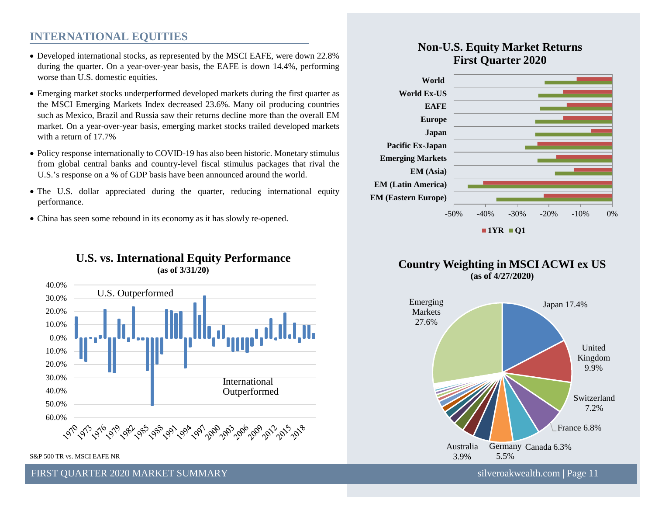#### **INTERNATIONAL EQUITIES**

- Developed international stocks, as represented by the MSCI EAFE, were down 22.8% during the quarter. On a year-over-year basis, the EAFE is down 14.4%, performing worse than U.S. domestic equities.
- Emerging market stocks underperformed developed markets during the first quarter as the MSCI Emerging Markets Index decreased 23.6%. Many oil producing countries such as Mexico, Brazil and Russia saw their returns decline more than the overall EM market. On a year-over-year basis, emerging market stocks trailed developed markets with a return of 17.7%
- Policy response internationally to COVID-19 has also been historic. Monetary stimulus from global central banks and country-level fiscal stimulus packages that rival the U.S.'s response on a % of GDP basis have been announced around the world.
- The U.S. dollar appreciated during the quarter, reducing international equity performance.
- China has seen some rebound in its economy as it has slowly re-opened.





S&P 500 TR vs. MSCI EAFE NR

#### **Non-U.S. Equity Market Returns First Quarter 2020**